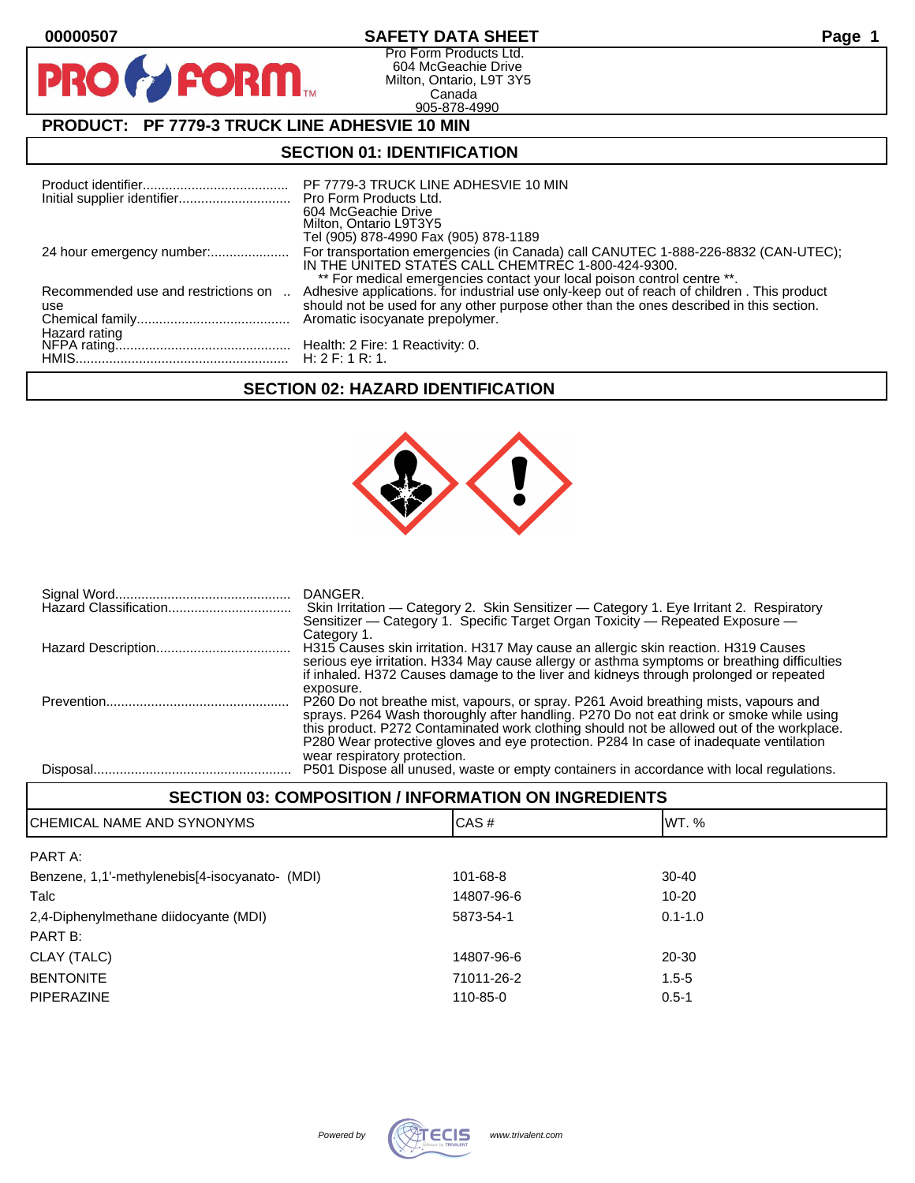$\mathbf O$ 

PR

# **00000507 SAFETY DATA SHEET Page 1**

Pro Form Products Ltd. 604 McGeachie Drive Milton, Ontario, L9T 3Y5 Canada 905-878-4990

# **PRODUCT: PF 7779-3 TRUCK LINE ADHESVIE 10 MIN**

**FORM** 

### **SECTION 01: IDENTIFICATION**

| Initial supplier identifier Pro Form Products Ltd. | PF 7779-3 TRUCK LINE ADHESVIE 10 MIN<br>604 McGeachie Drive<br>Milton, Ontario L9T3Y5<br>Tel (905) 878-4990 Fax (905) 878-1189                                                                                                                                   |
|----------------------------------------------------|------------------------------------------------------------------------------------------------------------------------------------------------------------------------------------------------------------------------------------------------------------------|
|                                                    | For transportation emergencies (in Canada) call CANUTEC 1-888-226-8832 (CAN-UTEC);<br>IN THE UNITED STATES CALL CHEMTREC 1-800-424-9300.                                                                                                                         |
| Recommended use and restrictions on                | ** For medical emergencies contact your local poison control centre **.<br>Adhesive applications. for industrial use only-keep out of reach of children. This product<br>should not be used for any other purpose other than the ones described in this section. |
| use                                                |                                                                                                                                                                                                                                                                  |
|                                                    |                                                                                                                                                                                                                                                                  |

# **SECTION 02: HAZARD IDENTIFICATION**



| DANGER.<br>Sensitizer — Category 1. Specific Target Organ Toxicity — Repeated Exposure —                                                                                                                                                                                                                                                                                            |
|-------------------------------------------------------------------------------------------------------------------------------------------------------------------------------------------------------------------------------------------------------------------------------------------------------------------------------------------------------------------------------------|
| Category 1.<br>H315 Causes skin irritation. H317 May cause an allergic skin reaction. H319 Causes<br>serious eye irritation. H334 May cause allergy or asthma symptoms or breathing difficulties<br>if inhaled. H372 Causes damage to the liver and kidneys through prolonged or repeated                                                                                           |
| exposure.<br>P260 Do not breathe mist, vapours, or spray. P261 Avoid breathing mists, vapours and<br>sprays. P264 Wash thoroughly after handling. P270 Do not eat drink or smoke while using<br>this product. P272 Contaminated work clothing should not be allowed out of the workplace.<br>P280 Wear protective gloves and eye protection. P284 In case of inadequate ventilation |
| wear respiratory protection.<br>P501 Dispose all unused, waste or empty containers in accordance with local regulations.                                                                                                                                                                                                                                                            |

#### **SECTION 03: COMPOSITION / INFORMATION ON INGREDIENTS**

| CHEMICAL NAME AND SYNONYMS                     | CAS#       | WT. %       |
|------------------------------------------------|------------|-------------|
| PART A:                                        |            |             |
| Benzene, 1,1'-methylenebis[4-isocyanato- (MDI) | 101-68-8   | $30-40$     |
| Talc                                           | 14807-96-6 | 10-20       |
| 2,4-Diphenylmethane diidocyante (MDI)          | 5873-54-1  | $0.1 - 1.0$ |
| PART B:                                        |            |             |
| CLAY (TALC)                                    | 14807-96-6 | 20-30       |
| <b>BENTONITE</b>                               | 71011-26-2 | $1.5 - 5$   |
| <b>PIPERAZINE</b>                              | 110-85-0   | $0.5 - 1$   |
|                                                |            |             |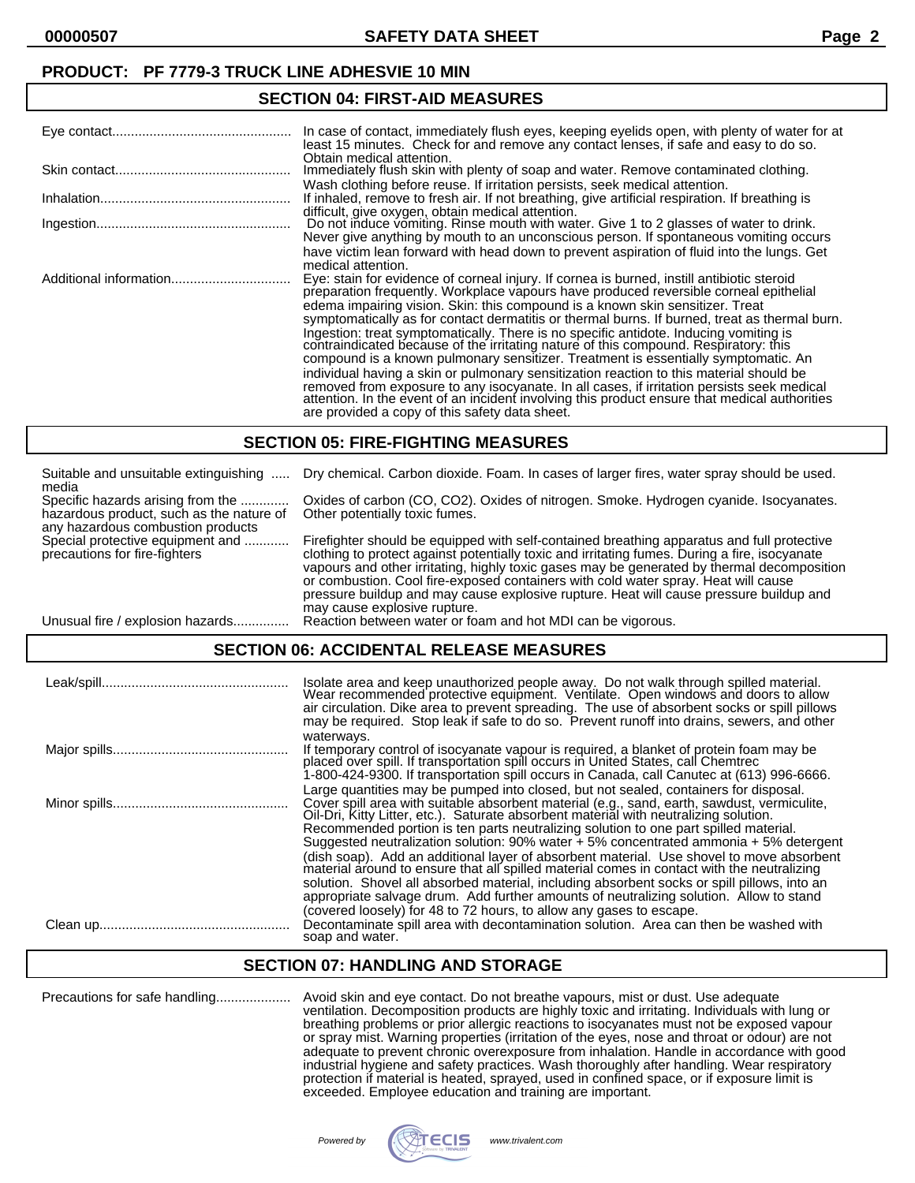**00000507 SAFETY DATA SHEET Page 2**

# **SECTION 04: FIRST-AID MEASURES**

| In case of contact, immediately flush eyes, keeping eyelids open, with plenty of water for at<br>least 15 minutes. Check for and remove any contact lenses, if safe and easy to do so.                                                                                                                                                                                                                                                                                                                                                                                                                                                                                                                                                                                                                                                                                                                                                                                                |
|---------------------------------------------------------------------------------------------------------------------------------------------------------------------------------------------------------------------------------------------------------------------------------------------------------------------------------------------------------------------------------------------------------------------------------------------------------------------------------------------------------------------------------------------------------------------------------------------------------------------------------------------------------------------------------------------------------------------------------------------------------------------------------------------------------------------------------------------------------------------------------------------------------------------------------------------------------------------------------------|
| Obtain medical attention.<br>Immediately flush skin with plenty of soap and water. Remove contaminated clothing.                                                                                                                                                                                                                                                                                                                                                                                                                                                                                                                                                                                                                                                                                                                                                                                                                                                                      |
| Wash clothing before reuse. If irritation persists, seek medical attention.<br>If inhaled, remove to fresh air. If not breathing, give artificial respiration. If breathing is<br>difficult, give oxygen, obtain medical attention.                                                                                                                                                                                                                                                                                                                                                                                                                                                                                                                                                                                                                                                                                                                                                   |
| Do not induce vomiting. Rinse mouth with water. Give 1 to 2 glasses of water to drink.<br>Never give anything by mouth to an unconscious person. If spontaneous vomiting occurs                                                                                                                                                                                                                                                                                                                                                                                                                                                                                                                                                                                                                                                                                                                                                                                                       |
| have victim lean forward with head down to prevent aspiration of fluid into the lungs. Get<br>medical attention.                                                                                                                                                                                                                                                                                                                                                                                                                                                                                                                                                                                                                                                                                                                                                                                                                                                                      |
| Eye: stain for evidence of corneal injury. If cornea is burned, instill antibiotic steroid<br>preparation frequently. Workplace vapours have produced reversible corneal epithelial<br>edema impairing vision. Skin: this compound is a known skin sensitizer. Treat<br>symptomatically as for contact dermatitis or thermal burns. If burned, treat as thermal burn.<br>Ingestion: treat symptomatically. There is no specific antidote. Inducing vomiting is<br>contraindicated because of the irritating nature of this compound. Respiratory: this<br>compound is a known pulmonary sensitizer. Treatment is essentially symptomatic. An<br>individual having a skin or pulmonary sensitization reaction to this material should be<br>removed from exposure to any isocyanate. In all cases, if irritation persists seek medical attention. In the event of an incident involving this product ensure that medical authorities<br>are provided a copy of this safety data sheet. |

#### **SECTION 05: FIRE-FIGHTING MEASURES**

| Suitable and unsuitable extinguishing<br>media                                                                     | Dry chemical. Carbon dioxide. Foam. In cases of larger fires, water spray should be used.                                                                                                                                                                                                                                                                                                                                                                                                                 |
|--------------------------------------------------------------------------------------------------------------------|-----------------------------------------------------------------------------------------------------------------------------------------------------------------------------------------------------------------------------------------------------------------------------------------------------------------------------------------------------------------------------------------------------------------------------------------------------------------------------------------------------------|
| Specific hazards arising from the<br>hazardous product, such as the nature of<br>any hazardous combustion products | Oxides of carbon (CO, CO2). Oxides of nitrogen. Smoke. Hydrogen cyanide. Isocyanates.<br>Other potentially toxic fumes.                                                                                                                                                                                                                                                                                                                                                                                   |
| Special protective equipment and<br>precautions for fire-fighters                                                  | Firefighter should be equipped with self-contained breathing apparatus and full protective<br>clothing to protect against potentially toxic and irritating fumes. During a fire, isocyanate<br>vapours and other irritating, highly toxic gases may be generated by thermal decomposition<br>or combustion. Cool fire-exposed containers with cold water spray. Heat will cause<br>pressure buildup and may cause explosive rupture. Heat will cause pressure buildup and<br>may cause explosive rupture. |
| Unusual fire / explosion hazards                                                                                   | Reaction between water or foam and hot MDI can be vigorous.                                                                                                                                                                                                                                                                                                                                                                                                                                               |

### **SECTION 06: ACCIDENTAL RELEASE MEASURES**

| Isolate area and keep unauthorized people away. Do not walk through spilled material.<br>Wear recommended protective equipment. Ventilate. Open windows and doors to allow<br>air circulation. Dike area to prevent spreading. The use of absorbent socks or spill pillows<br>may be required. Stop leak if safe to do so. Prevent runoff into drains, sewers, and other                                                                                                                                                                                                                                                                                                                                                                                                                                                                         |
|--------------------------------------------------------------------------------------------------------------------------------------------------------------------------------------------------------------------------------------------------------------------------------------------------------------------------------------------------------------------------------------------------------------------------------------------------------------------------------------------------------------------------------------------------------------------------------------------------------------------------------------------------------------------------------------------------------------------------------------------------------------------------------------------------------------------------------------------------|
| waterways.<br>If temporary control of isocyanate vapour is required, a blanket of protein foam may be<br>placed over spill. If transportation spill occurs in United States, call Chemtrec<br>1-800-424-9300. If transportation spill occurs in Canada, call Canutec at (613) 996-6666.                                                                                                                                                                                                                                                                                                                                                                                                                                                                                                                                                          |
| Large quantities may be pumped into closed, but not sealed, containers for disposal.<br>Cover spill area with suitable absorbent material (e.g., sand, earth, sawdust, vermiculite,<br>Oil-Dri, Kitty Litter, etc.). Saturate absorbent material with neutralizing solution.<br>Recommended portion is ten parts neutralizing solution to one part spilled material.<br>Suggested neutralization solution: 90% water + 5% concentrated ammonia + 5% detergent<br>(dish soap). Add an additional layer of absorbent material. Use shovel to move absorbent<br>material around to ensure that all spilled material comes in contact with the neutralizing<br>solution. Shovel all absorbed material, including absorbent socks or spill pillows, into an<br>appropriate salvage drum. Add further amounts of neutralizing solution. Allow to stand |
| (covered loosely) for 48 to 72 hours, to allow any gases to escape.<br>Decontaminate spill area with decontamination solution. Area can then be washed with<br>soap and water.                                                                                                                                                                                                                                                                                                                                                                                                                                                                                                                                                                                                                                                                   |

#### **SECTION 07: HANDLING AND STORAGE**

Precautions for safe handling.................... Avoid skin and eye contact. Do not breathe vapours, mist or dust. Use adequate ventilation. Decomposition products are highly toxic and irritating. Individuals with lung or breathing problems or prior allergic reactions to isocyanates must not be exposed vapour or spray mist. Warning properties (irritation of the eyes, nose and throat or odour) are not adequate to prevent chronic overexposure from inhalation. Handle in accordance with good industrial hygiene and safety practices. Wash thoroughly after handling. Wear respiratory protection if material is heated, sprayed, used in confined space, or if exposure limit is exceeded. Employee education and training are important.

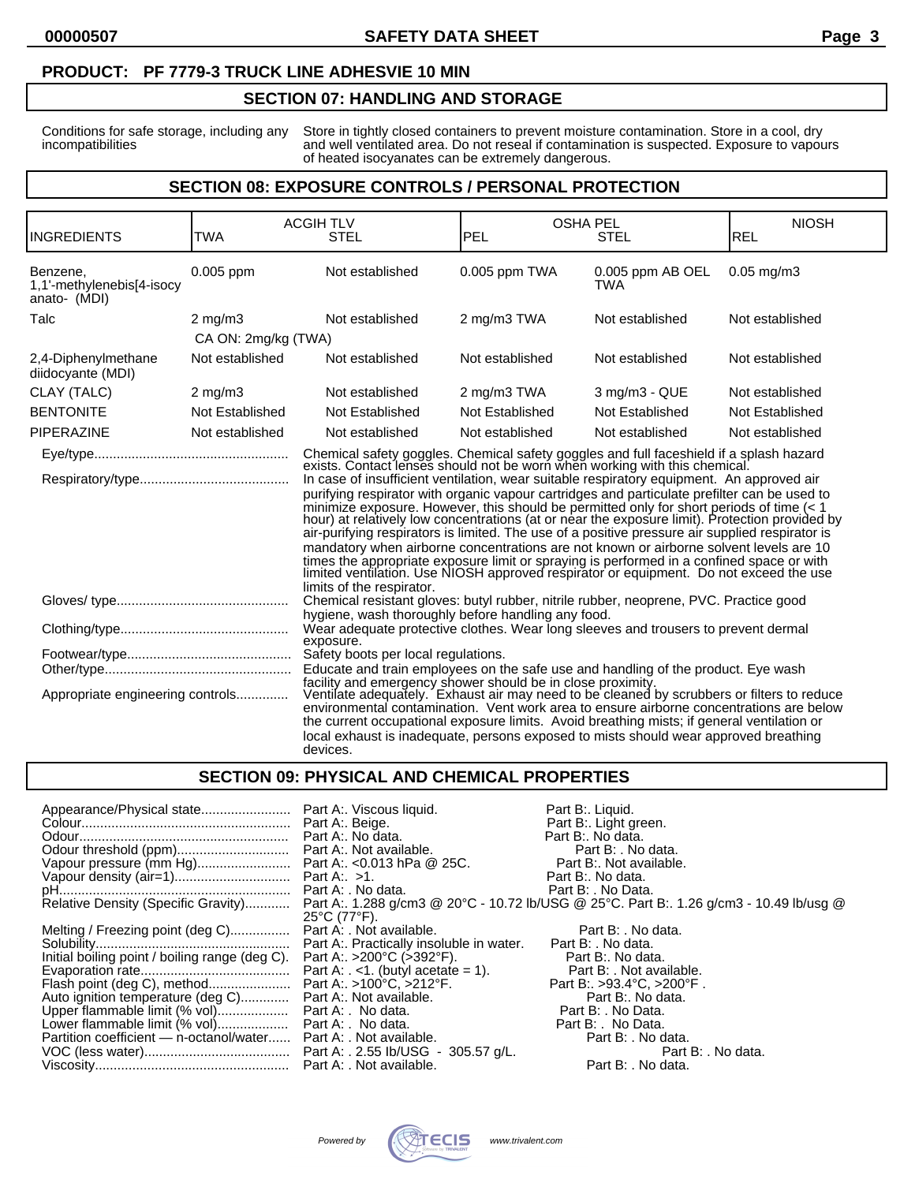#### **PRODUCT: PF 7779-3 TRUCK LINE ADHESVIE 10 MIN**

### **SECTION 07: HANDLING AND STORAGE**

Conditions for safe storage, including any Store in tightly closed containers to prevent moisture contamination. Store in a cool, dry incompatibilities and well ventilated area. Do not reseal if contamination is suspected. Exposure to vapours of heated isocyanates can be extremely dangerous.

#### **SECTION 08: EXPOSURE CONTROLS / PERSONAL PROTECTION**

| <b>INGREDIENTS</b>                                                                                                                                                                                                                                                                                                                                                                                                                                                                                                                                                                                                                                                                                                                                                                                                                                                                                                                                                       | <b>TWA</b>          | <b>ACGIH TLV</b><br><b>STEL</b>                                                                                                                                                                                                                                                                                                                                                                                                                                                                                                                                                    | PEL             | <b>OSHA PEL</b><br>STEL        | <b>NIOSH</b><br>REL |
|--------------------------------------------------------------------------------------------------------------------------------------------------------------------------------------------------------------------------------------------------------------------------------------------------------------------------------------------------------------------------------------------------------------------------------------------------------------------------------------------------------------------------------------------------------------------------------------------------------------------------------------------------------------------------------------------------------------------------------------------------------------------------------------------------------------------------------------------------------------------------------------------------------------------------------------------------------------------------|---------------------|------------------------------------------------------------------------------------------------------------------------------------------------------------------------------------------------------------------------------------------------------------------------------------------------------------------------------------------------------------------------------------------------------------------------------------------------------------------------------------------------------------------------------------------------------------------------------------|-----------------|--------------------------------|---------------------|
| Benzene.<br>1,1'-methylenebis[4-isocy<br>anato- (MDI)                                                                                                                                                                                                                                                                                                                                                                                                                                                                                                                                                                                                                                                                                                                                                                                                                                                                                                                    | 0.005 ppm           | Not established                                                                                                                                                                                                                                                                                                                                                                                                                                                                                                                                                                    | 0.005 ppm TWA   | 0.005 ppm AB OEL<br><b>TWA</b> | $0.05$ mg/m $3$     |
| Talc                                                                                                                                                                                                                                                                                                                                                                                                                                                                                                                                                                                                                                                                                                                                                                                                                                                                                                                                                                     | $2 \text{ mg/m}$ 3  | Not established                                                                                                                                                                                                                                                                                                                                                                                                                                                                                                                                                                    | 2 mg/m3 TWA     | Not established                | Not established     |
|                                                                                                                                                                                                                                                                                                                                                                                                                                                                                                                                                                                                                                                                                                                                                                                                                                                                                                                                                                          | CA ON: 2mg/kg (TWA) |                                                                                                                                                                                                                                                                                                                                                                                                                                                                                                                                                                                    |                 |                                |                     |
| 2,4-Diphenylmethane<br>diidocyante (MDI)                                                                                                                                                                                                                                                                                                                                                                                                                                                                                                                                                                                                                                                                                                                                                                                                                                                                                                                                 | Not established     | Not established                                                                                                                                                                                                                                                                                                                                                                                                                                                                                                                                                                    | Not established | Not established                | Not established     |
| CLAY (TALC)                                                                                                                                                                                                                                                                                                                                                                                                                                                                                                                                                                                                                                                                                                                                                                                                                                                                                                                                                              | $2 \text{ mg/m}$    | Not established                                                                                                                                                                                                                                                                                                                                                                                                                                                                                                                                                                    | 2 mg/m3 TWA     | 3 mg/m3 - QUE                  | Not established     |
| <b>BENTONITE</b>                                                                                                                                                                                                                                                                                                                                                                                                                                                                                                                                                                                                                                                                                                                                                                                                                                                                                                                                                         | Not Established     | Not Established                                                                                                                                                                                                                                                                                                                                                                                                                                                                                                                                                                    | Not Established | Not Established                | Not Established     |
| <b>PIPERAZINE</b>                                                                                                                                                                                                                                                                                                                                                                                                                                                                                                                                                                                                                                                                                                                                                                                                                                                                                                                                                        | Not established     | Not established                                                                                                                                                                                                                                                                                                                                                                                                                                                                                                                                                                    | Not established | Not established                | Not established     |
| Chemical safety goggles. Chemical safety goggles and full faceshield if a splash hazard exists. Contact lenses should not be worn when working with this chemical.<br>In case of insufficient ventilation, wear suitable respiratory equipment. An approved air<br>purifying respirator with organic vapour cartridges and particulate prefilter can be used to<br>minimize exposure. However, this should be permitted only for short periods of time (< 1 hour) at relatively low concentrations (at or near the exposure limit). Protection provided by<br>air-purifying respirators is limited. The use of a positive pressure air supplied respirator is<br>mandatory when airborne concentrations are not known or airborne solvent levels are 10<br>times the appropriate exposure limit or spraying is performed in a confined space or with limited ventilation. Use NIOSH approved respirator or equipment. Do not exceed the use<br>limits of the respirator. |                     |                                                                                                                                                                                                                                                                                                                                                                                                                                                                                                                                                                                    |                 |                                |                     |
|                                                                                                                                                                                                                                                                                                                                                                                                                                                                                                                                                                                                                                                                                                                                                                                                                                                                                                                                                                          |                     | Chemical resistant gloves: butyl rubber, nitrile rubber, neoprene, PVC. Practice good<br>hygiene, wash thoroughly before handling any food.                                                                                                                                                                                                                                                                                                                                                                                                                                        |                 |                                |                     |
|                                                                                                                                                                                                                                                                                                                                                                                                                                                                                                                                                                                                                                                                                                                                                                                                                                                                                                                                                                          |                     | Wear adequate protective clothes. Wear long sleeves and trousers to prevent dermal<br>exposure.                                                                                                                                                                                                                                                                                                                                                                                                                                                                                    |                 |                                |                     |
| Appropriate engineering controls                                                                                                                                                                                                                                                                                                                                                                                                                                                                                                                                                                                                                                                                                                                                                                                                                                                                                                                                         |                     | Safety boots per local regulations.<br>Educate and train employees on the safe use and handling of the product. Eye wash<br>facility and emergency shower should be in close proximity.<br>Ventilate adequately. Exhaust air may need to be cleaned by scrubbers or filters to reduce<br>environmental contamination. Vent work area to ensure airborne concentrations are below<br>the current occupational exposure limits. Avoid breathing mists; if general ventilation or<br>local exhaust is inadequate, persons exposed to mists should wear approved breathing<br>devices. |                 |                                |                     |

### **SECTION 09: PHYSICAL AND CHEMICAL PROPERTIES**

| Appearance/Physical state Part A:. Viscous liquid.                      |                          | Part B:. Liquid.<br>Part B:. Light green.                                                                                   |
|-------------------------------------------------------------------------|--------------------------|-----------------------------------------------------------------------------------------------------------------------------|
|                                                                         |                          | Part B:. No data.                                                                                                           |
|                                                                         |                          |                                                                                                                             |
|                                                                         |                          |                                                                                                                             |
|                                                                         | <b>Part B:. No data.</b> |                                                                                                                             |
|                                                                         |                          |                                                                                                                             |
|                                                                         | 25°C (77°F).             | Relative Density (Specific Gravity) Part A:. 1.288 g/cm3 @ 20°C - 10.72 lb/USG @ 25°C. Part B:. 1.26 g/cm3 - 10.49 lb/usg @ |
| Melting / Freezing point (deg C) Part A: . Not available.               |                          | Part B: . No data.                                                                                                          |
|                                                                         |                          |                                                                                                                             |
| Initial boiling point / boiling range (deg C). Part A: >200°C (>392°F). |                          | Part B:. No data.                                                                                                           |
|                                                                         |                          |                                                                                                                             |
|                                                                         |                          | Part B: >93.4°C, >200°F.                                                                                                    |
| Auto ignition temperature (deg C) Part A:. Not available.               |                          | Part B:. No data.                                                                                                           |
|                                                                         |                          | Part B: . No Data.                                                                                                          |
|                                                                         |                          | Part B: No Data.                                                                                                            |
| Partition coefficient — n-octanol/water Part A: . Not available.        |                          | Part B: . No data.                                                                                                          |
|                                                                         |                          | Part B: . No data.                                                                                                          |
|                                                                         |                          | Part B: . No data.                                                                                                          |

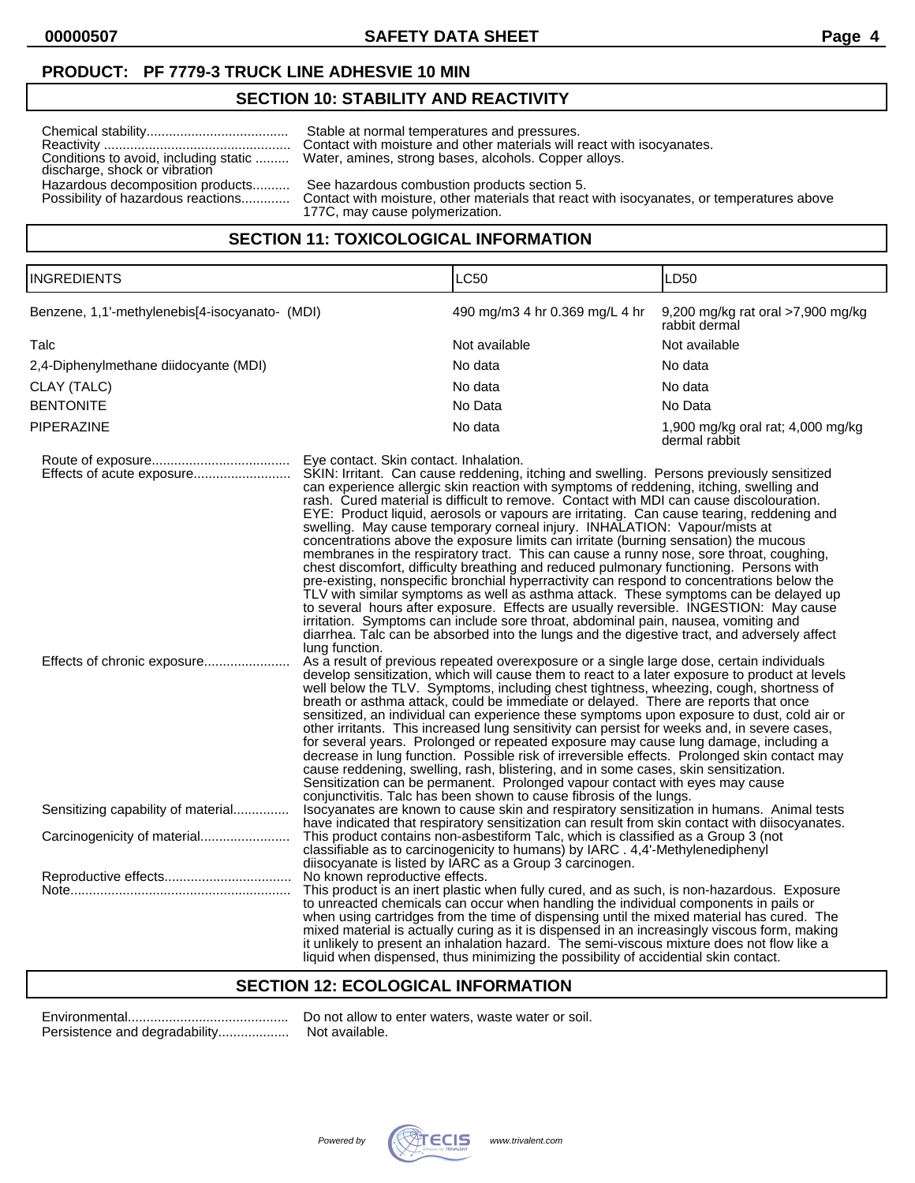**00000507 SAFETY DATA SHEET Page 4**

### **PRODUCT: PF 7779-3 TRUCK LINE ADHESVIE 10 MIN**

### **SECTION 10: STABILITY AND REACTIVITY**

| Conditions to avoid, including static<br>discharge, shock or vibration | Stable at normal temperatures and pressures.<br>Contact with moisture and other materials will react with isocyanates.<br>Water, amines, strong bases, alcohols. Copper alloys. |
|------------------------------------------------------------------------|---------------------------------------------------------------------------------------------------------------------------------------------------------------------------------|
| Hazardous decomposition products<br>Possibility of hazardous reactions | See hazardous combustion products section 5.<br>Contact with moisture, other materials that react with isocyanates, or temperatures above<br>177C, may cause polymerization.    |

### **SECTION 11: TOXICOLOGICAL INFORMATION**

| INGREDIENTS                                              |                                                          | LC50                                                                                                                                                                                                                                                                                                                                                                                                                                                                                                                                                                                                                                                                                                                                                                                                                                                                                                                                                                                                                                                                                                                                                                                                                                                                                                                                                                                                                                                                                                                                                                                                                                                                                                                                                                                                                                                                                                                                                                                                                                                                                                                                                                                                                          | LD50                                               |
|----------------------------------------------------------|----------------------------------------------------------|-------------------------------------------------------------------------------------------------------------------------------------------------------------------------------------------------------------------------------------------------------------------------------------------------------------------------------------------------------------------------------------------------------------------------------------------------------------------------------------------------------------------------------------------------------------------------------------------------------------------------------------------------------------------------------------------------------------------------------------------------------------------------------------------------------------------------------------------------------------------------------------------------------------------------------------------------------------------------------------------------------------------------------------------------------------------------------------------------------------------------------------------------------------------------------------------------------------------------------------------------------------------------------------------------------------------------------------------------------------------------------------------------------------------------------------------------------------------------------------------------------------------------------------------------------------------------------------------------------------------------------------------------------------------------------------------------------------------------------------------------------------------------------------------------------------------------------------------------------------------------------------------------------------------------------------------------------------------------------------------------------------------------------------------------------------------------------------------------------------------------------------------------------------------------------------------------------------------------------|----------------------------------------------------|
| Benzene, 1,1'-methylenebis[4-isocyanato- (MDI)           |                                                          | 490 mg/m3 4 hr 0.369 mg/L 4 hr                                                                                                                                                                                                                                                                                                                                                                                                                                                                                                                                                                                                                                                                                                                                                                                                                                                                                                                                                                                                                                                                                                                                                                                                                                                                                                                                                                                                                                                                                                                                                                                                                                                                                                                                                                                                                                                                                                                                                                                                                                                                                                                                                                                                | 9,200 mg/kg rat oral >7,900 mg/kg<br>rabbit dermal |
| Talc                                                     |                                                          | Not available                                                                                                                                                                                                                                                                                                                                                                                                                                                                                                                                                                                                                                                                                                                                                                                                                                                                                                                                                                                                                                                                                                                                                                                                                                                                                                                                                                                                                                                                                                                                                                                                                                                                                                                                                                                                                                                                                                                                                                                                                                                                                                                                                                                                                 | Not available                                      |
| 2,4-Diphenylmethane diidocyante (MDI)                    |                                                          | No data                                                                                                                                                                                                                                                                                                                                                                                                                                                                                                                                                                                                                                                                                                                                                                                                                                                                                                                                                                                                                                                                                                                                                                                                                                                                                                                                                                                                                                                                                                                                                                                                                                                                                                                                                                                                                                                                                                                                                                                                                                                                                                                                                                                                                       | No data                                            |
| CLAY (TALC)                                              |                                                          | No data                                                                                                                                                                                                                                                                                                                                                                                                                                                                                                                                                                                                                                                                                                                                                                                                                                                                                                                                                                                                                                                                                                                                                                                                                                                                                                                                                                                                                                                                                                                                                                                                                                                                                                                                                                                                                                                                                                                                                                                                                                                                                                                                                                                                                       | No data                                            |
| <b>BENTONITE</b>                                         |                                                          | No Data                                                                                                                                                                                                                                                                                                                                                                                                                                                                                                                                                                                                                                                                                                                                                                                                                                                                                                                                                                                                                                                                                                                                                                                                                                                                                                                                                                                                                                                                                                                                                                                                                                                                                                                                                                                                                                                                                                                                                                                                                                                                                                                                                                                                                       | No Data                                            |
| PIPERAZINE                                               |                                                          | No data                                                                                                                                                                                                                                                                                                                                                                                                                                                                                                                                                                                                                                                                                                                                                                                                                                                                                                                                                                                                                                                                                                                                                                                                                                                                                                                                                                                                                                                                                                                                                                                                                                                                                                                                                                                                                                                                                                                                                                                                                                                                                                                                                                                                                       | 1,900 mg/kg oral rat; 4,000 mg/kg<br>dermal rabbit |
| Effects of acute exposure<br>Effects of chronic exposure | Eye contact. Skin contact. Inhalation.<br>lung function. | SKIN: Irritant. Can cause reddening, itching and swelling. Persons previously sensitized<br>can experience allergic skin reaction with symptoms of reddening, itching, swelling and<br>rash. Cured material is difficult to remove. Contact with MDI can cause discolouration.<br>EYE: Product liquid, aerosols or vapours are irritating. Can cause tearing, reddening and<br>swelling. May cause temporary corneal injury. INHALATION: Vapour/mists at<br>concentrations above the exposure limits can irritate (burning sensation) the mucous<br>membranes in the respiratory tract. This can cause a runny nose, sore throat, coughing,<br>chest discomfort, difficulty breathing and reduced pulmonary functioning. Persons with<br>pre-existing, nonspecific bronchial hyperractivity can respond to concentrations below the<br>TLV with similar symptoms as well as asthma attack. These symptoms can be delayed up<br>to several hours after exposure. Effects are usually reversible. INGESTION: May cause<br>irritation. Symptoms can include sore throat, abdominal pain, nausea, vomiting and<br>diarrhea. Talc can be absorbed into the lungs and the digestive tract, and adversely affect<br>As a result of previous repeated overexposure or a single large dose, certain individuals<br>develop sensitization, which will cause them to react to a later exposure to product at levels<br>well below the TLV. Symptoms, including chest tightness, wheezing, cough, shortness of<br>breath or asthma attack, could be immediate or delayed. There are reports that once<br>sensitized, an individual can experience these symptoms upon exposure to dust, cold air or<br>other irritants. This increased lung sensitivity can persist for weeks and, in severe cases,<br>for several years. Prolonged or repeated exposure may cause lung damage, including a<br>decrease in lung function. Possible risk of irreversible effects. Prolonged skin contact may<br>cause reddening, swelling, rash, blistering, and in some cases, skin sensitization.<br>Sensitization can be permanent. Prolonged vapour contact with eyes may cause<br>conjunctivitis. Talc has been shown to cause fibrosis of the lungs. |                                                    |
| Sensitizing capability of material                       |                                                          | Isocyanates are known to cause skin and respiratory sensitization in humans. Animal tests<br>have indicated that respiratory sensitization can result from skin contact with diisocyanates.                                                                                                                                                                                                                                                                                                                                                                                                                                                                                                                                                                                                                                                                                                                                                                                                                                                                                                                                                                                                                                                                                                                                                                                                                                                                                                                                                                                                                                                                                                                                                                                                                                                                                                                                                                                                                                                                                                                                                                                                                                   |                                                    |
| Carcinogenicity of material                              |                                                          | This product contains non-asbestiform Talc, which is classified as a Group 3 (not<br>classifiable as to carcinogenicity to humans) by IARC . 4,4'-Methylenediphenyl<br>diisocyanate is listed by IARC as a Group 3 carcinogen.                                                                                                                                                                                                                                                                                                                                                                                                                                                                                                                                                                                                                                                                                                                                                                                                                                                                                                                                                                                                                                                                                                                                                                                                                                                                                                                                                                                                                                                                                                                                                                                                                                                                                                                                                                                                                                                                                                                                                                                                |                                                    |
|                                                          | No known reproductive effects.                           | This product is an inert plastic when fully cured, and as such, is non-hazardous. Exposure<br>to unreacted chemicals can occur when handling the individual components in pails or<br>when using cartridges from the time of dispensing until the mixed material has cured. The<br>mixed material is actually curing as it is dispensed in an increasingly viscous form, making<br>it unlikely to present an inhalation hazard. The semi-viscous mixture does not flow like a                                                                                                                                                                                                                                                                                                                                                                                                                                                                                                                                                                                                                                                                                                                                                                                                                                                                                                                                                                                                                                                                                                                                                                                                                                                                                                                                                                                                                                                                                                                                                                                                                                                                                                                                                 |                                                    |

# **SECTION 12: ECOLOGICAL INFORMATION**

Persistence and degradability...................

Environmental........................................... Do not allow to enter waters, waste water or soil.



liquid when dispensed, thus minimizing the possibility of accidential skin contact.